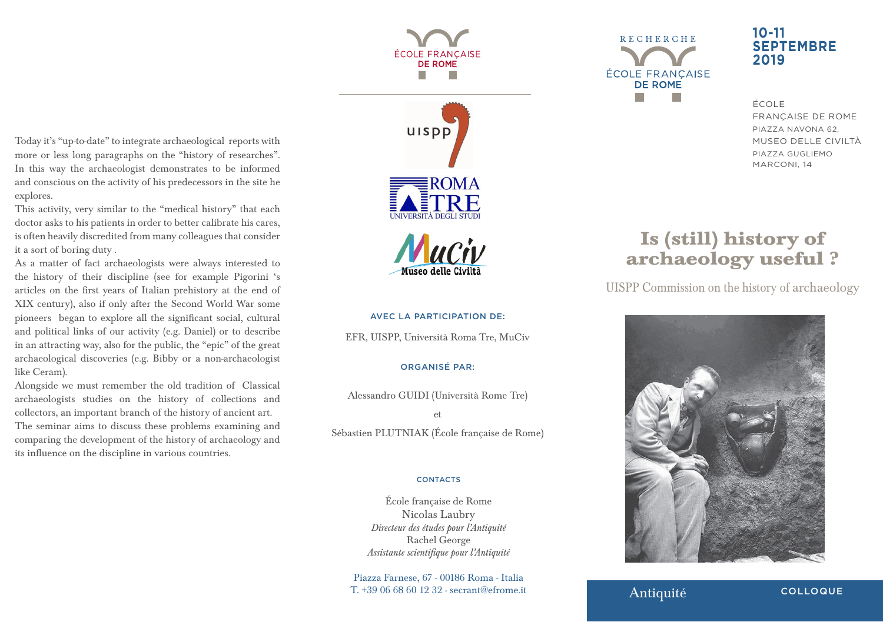Today it's "up-to-date" to integrate archaeological reports with more or less long paragraphs on the "history of researches". In this way the archaeologist demonstrates to be informed and conscious on the activity of his predecessors in the site he explores.

This activity, very similar to the "medical history" that each doctor asks to his patients in order to better calibrate his cares, is often heavily discredited from many colleagues that consider it a sort of boring duty .

As a matter of fact archaeologists were always interested to the history of their discipline (see for example Pigorini 's articles on the first years of Italian prehistory at the end of XIX century), also if only after the Second World War some pioneers began to explore all the significant social, cultural and political links of our activity (e.g. Daniel) or to describe in an attracting way, also for the public, the "epic" of the great archaeological discoveries (e.g. Bibby or a non-archaeologist like Ceram).

Alongside we must remember the old tradition of Classical archaeologists studies on the history of collections and collectors, an important branch of the history of ancient art. The seminar aims to discuss these problems examining and comparing the development of the history of archaeology and its influence on the discipline in various countries.





Museo delle Civili

#### AVEC LA PARTICIPATION DE:

EFR, UISPP, Università Roma Tre, MuCiv

#### ORGANISÉ PAR:

Alessandro GUIDI (Università Rome Tre)

et

Sébastien PLUTNIAK (École française de Rome)

#### **CONTACTS**

École française de Rome Nicolas Laubry *Directeur des études pour l'Antiquité* Rachel George *Assistante scientifique pour l'Antiquité*

Piazza Farnese, 67 - 00186 Roma - Italia T. +39 06 68 60 12 32 - secrant@efrome.it **Antiquité** 

**RECHERCHE ÉCOLE FRANCAISE DE ROME** 

## **10-11 SEPTEMBRE 2019**

ÉCOLE FRANÇAISE DE ROME PIAZZA NAVONA 62, MUSEO DELLE CIVILTÀ PIAZZA GUGLIEMO MARCONI, 14

# **Is (still) history of archaeology useful ?**

UISPP Commission on the history of archaeology



**COLLOQUE**